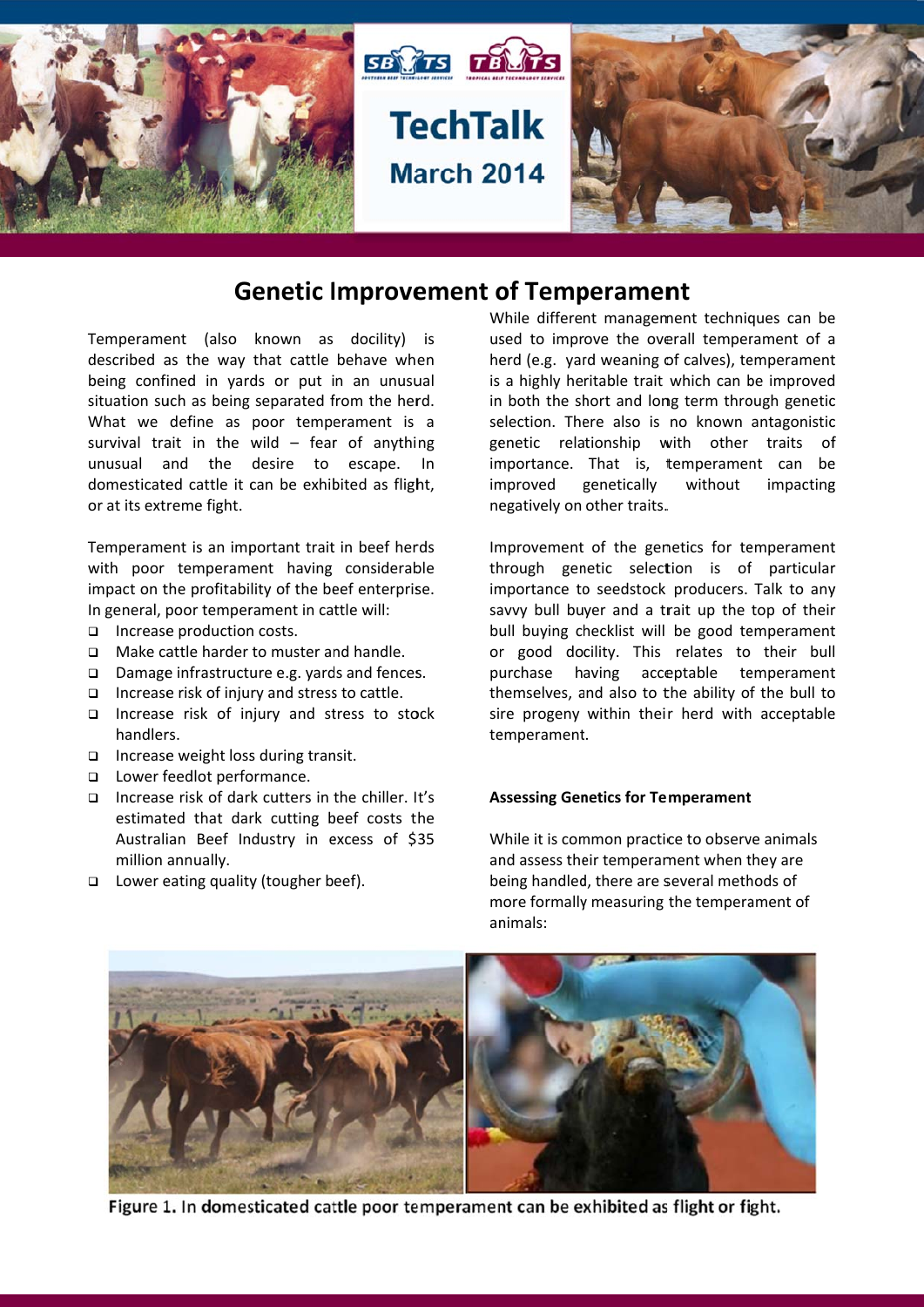

# **Genetic Improvement of Temperament**

Temperament (also known as docility) is described as the way that cattle behave when being confined in yards or put in an unusual situation such as being separated from the herd. What we define as poor temperament is a survival trait in the wild  $-$  fear of anything unusual and the desire to escape. In domesticated cattle it can be exhibited as flight. or at its extreme fight.

Temperament is an important trait in beef herds with poor temperament having considerable impact on the profitability of the beef enterprise. In general, poor temperament in cattle will:

- □ Increase production costs.
- $\Box$ Make cattle harder to muster and handle.
- $\Box$  Damage infrastructure e.g. vards and fences.
- $\Box$  Increase risk of injury and stress to cattle.
- Increase risk of injury and stress to stock handlers.
- $\Box$  Increase weight loss during transit.
- □ Lower feedlot performance.
- $\Box$  Increase risk of dark cutters in the chiller. It's estimated that dark cutting beef costs the Australian Beef Industry in excess of \$35 million annually.
- □ Lower eating quality (tougher beef).

While different management techniques can be used to improve the overall temperament of a herd (e.g. yard weaning of calves), temperament is a highly heritable trait which can be improved in both the short and long term through genetic selection. There also is no known antagonistic genetic relationship with other traits  $\sigma$ f importance. That is, temperament can be improved genetically without impacting negatively on other traits.

Improvement of the genetics for temperament through genetic selection is of particular importance to seedstock producers. Talk to any savvy bull buyer and a trait up the top of their bull buying checklist will be good temperament or good docility. This relates to their bull purchase having acceptable temperament themselves, and also to the ability of the bull to sire progeny within their herd with acceptable temperament.

#### **Assessing Genetics for Temperament**

While it is common practice to observe animals and assess their temperament when they are being handled, there are several methods of more formally measuring the temperament of animals:



Figure 1. In domesticated cattle poor temperament can be exhibited as flight or fight.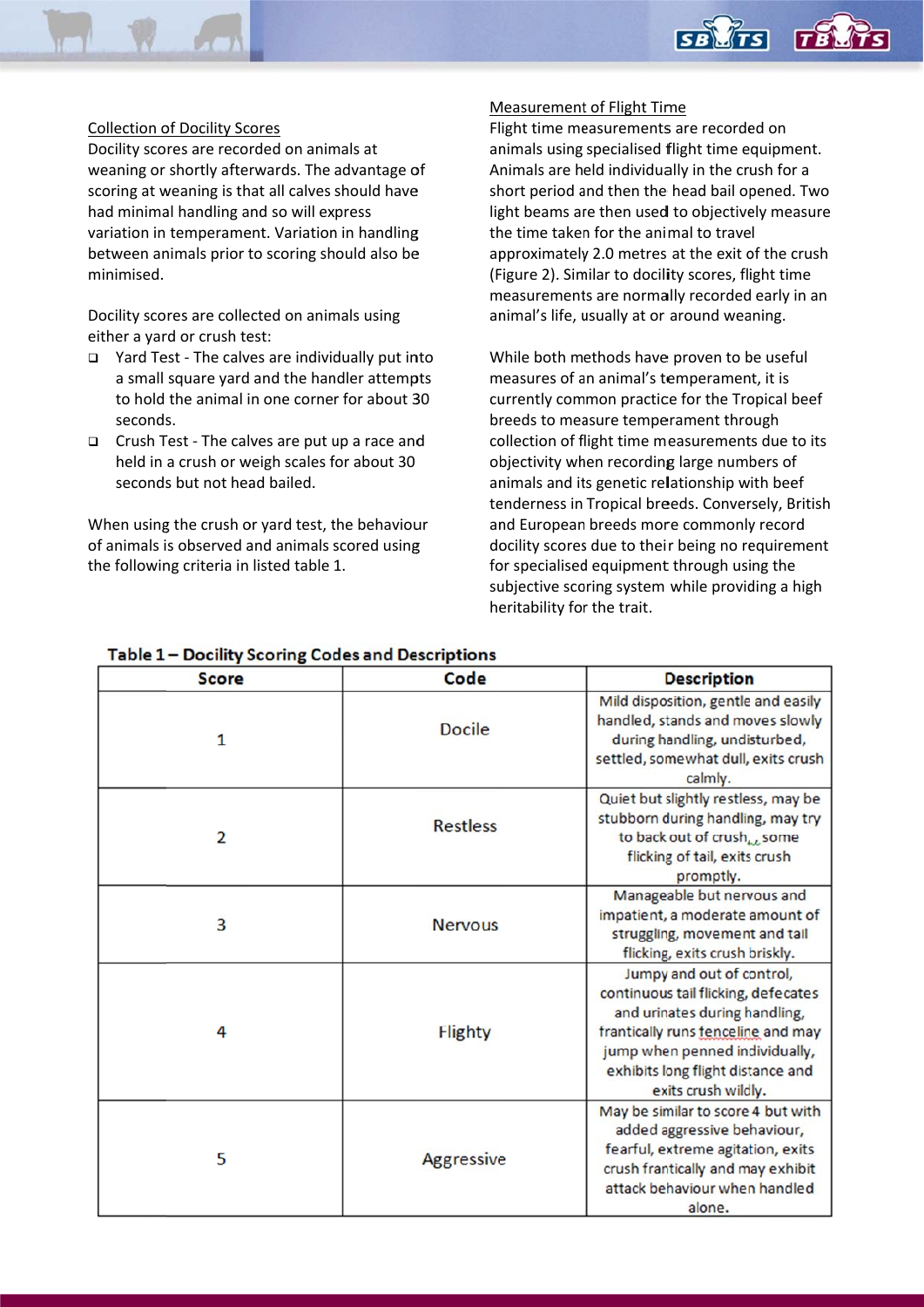#### Collection of Docility Scores

Docility scores are recorded on animals at weaning or shortly afterwards. The advantage of scoring at weaning is that all calves should have had minimal handling and so will express variation in temperament. Variation in handling variation in temperament. Variation in handling<br>between animals prior to scoring should also be minimised.

Docility scores are collected on animals using either a yard or crush test:

- □ Yard Test The calves are individually put into a small square yard and the handler attempts to hold the animal in one corner for about 30 seconds.
- □ Crush Test The calves are put up a race and held in a crush or weigh scales for about 30 seconds but not head bailed.

When using the crush or yard test, the behaviour of animals is observed and animals scored using the following criteria in listed table 1.

#### Measurement of Flight Time

Flight time measurements are recorded on an nimals using specialised f flight time e quipment. Animals are held individually in the crush for a short period and then the head bail opened. Two light beams are then used to objectively measure the time taken for the animal to travel approximately 2.0 metres at the exit of the crush (Figure 2). Similar to docility scores, flight time measurements are normally recorded early in an animal's life, usually at or around weaning.

Monder Contract Contract Contract Contract Contract Contract Contract Contract Contract Contract Contract Contract Contract Contract Contract Contract Contract Contract Contract Contract Contract Contract Contract Contract While both methods have proven to be useful measures of an animal's temperament, it is currently common practice for the Tropical beef breeds to measure temperament through collection of flight time measurements due to its objectivity when recording large numbers of animals and its genetic relationship with beef tenderness in Tropical breeds. Conversely, British and European breeds more commonly record docility scores due to their being no requirement for specialised equipment through using the subjective scoring system while providing a high heritability for the trait.

| <b>Score</b> | Code            | <b>Description</b>                                                                                                                                                                                                                    |
|--------------|-----------------|---------------------------------------------------------------------------------------------------------------------------------------------------------------------------------------------------------------------------------------|
| 1            | <b>Docile</b>   | Mild disposition, gentle and easily<br>handled, stands and moves slowly<br>during handling, undisturbed,<br>settled, somewhat dull, exits crush<br>calmly.                                                                            |
| 2            | <b>Restless</b> | Quiet but slightly restless, may be<br>stubborn during handling, may try<br>to back out of crush <sub>ke</sub> some<br>flicking of tail, exits crush<br>promptly.                                                                     |
| 3            | <b>Nervous</b>  | Manageable but nervous and<br>impatient, a moderate amount of<br>struggling, movement and tail<br>flicking, exits crush briskly.                                                                                                      |
| 4            | <b>Flighty</b>  | Jumpy and out of control,<br>continuous tail flicking, defecates<br>and urinates during handling,<br>frantically runs fenceline and may<br>jump when penned individually,<br>exhibits long flight distance and<br>exits crush wildly. |
| 5            | Aggressive      | May be similar to score 4 but with<br>added aggressive behaviour,<br>fearful, extreme agitation, exits<br>crush frantically and may exhibit<br>attack behaviour when handled<br>alone.                                                |

### Table 1 - Docility Scoring Codes and Descriptions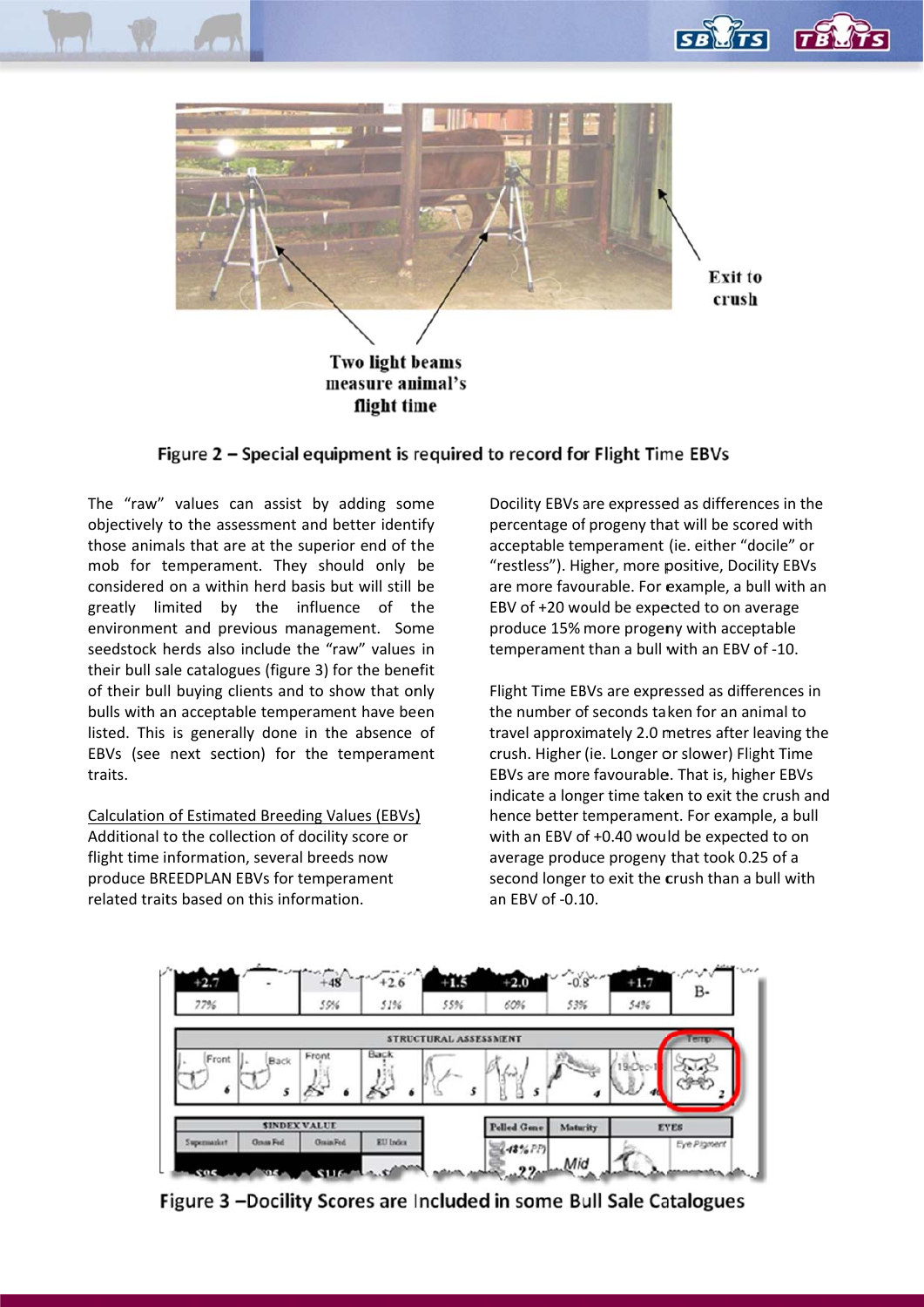



Figure 2 - Special equipment is required to record for Flight Time EBVs

flight time

The "raw" values can assist by adding some objectively to the assessment and better identify those animals that are at the superior end of the mob for temperament. They should only be considered on a within herd basis but will still be greatly limited by the influence of the environment and previous management. Some seedstock herds also include the "raw" values in their bull sale catalogues (figure 3) for the benefit of their bull buying clients and to show that only bulls with an acceptable temperament have been listed. This is generally done in the absence of EBVs (see next section) for the temperament traits.

Calculation of Estimated Breeding Values (EBVs) Additional to the collection of docility score or flight time information, several breeds now produce BREEDPLAN EBVs for temperament related traits based on this information.

Docility EBVs are expressed as differences in the percentage of progeny that will be scored with acceptable temperament (ie. either "docile" or "restless"). Higher, more positive, Docility EBVs are more favourable. For example, a bull with an EBV of +20 would be expected to on average produce 15% more progeny with acceptable temperament than a bull with an EBV of -10.

Flight Time EBVs are expressed as differences in the number of seconds taken for an animal to travel approximately 2.0 metres after leaving the crush. Higher (ie. Longer or slower) Flight Time EBVs are more favourable. That is, higher EBVs indicate a longer time taken to exit the crush and hence better temperament. For example, a bull with an EBV of +0.40 would be expected to on average produce progeny that took 0.25 of a second longer to exit the crush than a bull with an EBV of -0.10.



Figure 3 -Docility Scores are Included in some Bull Sale Catalogues